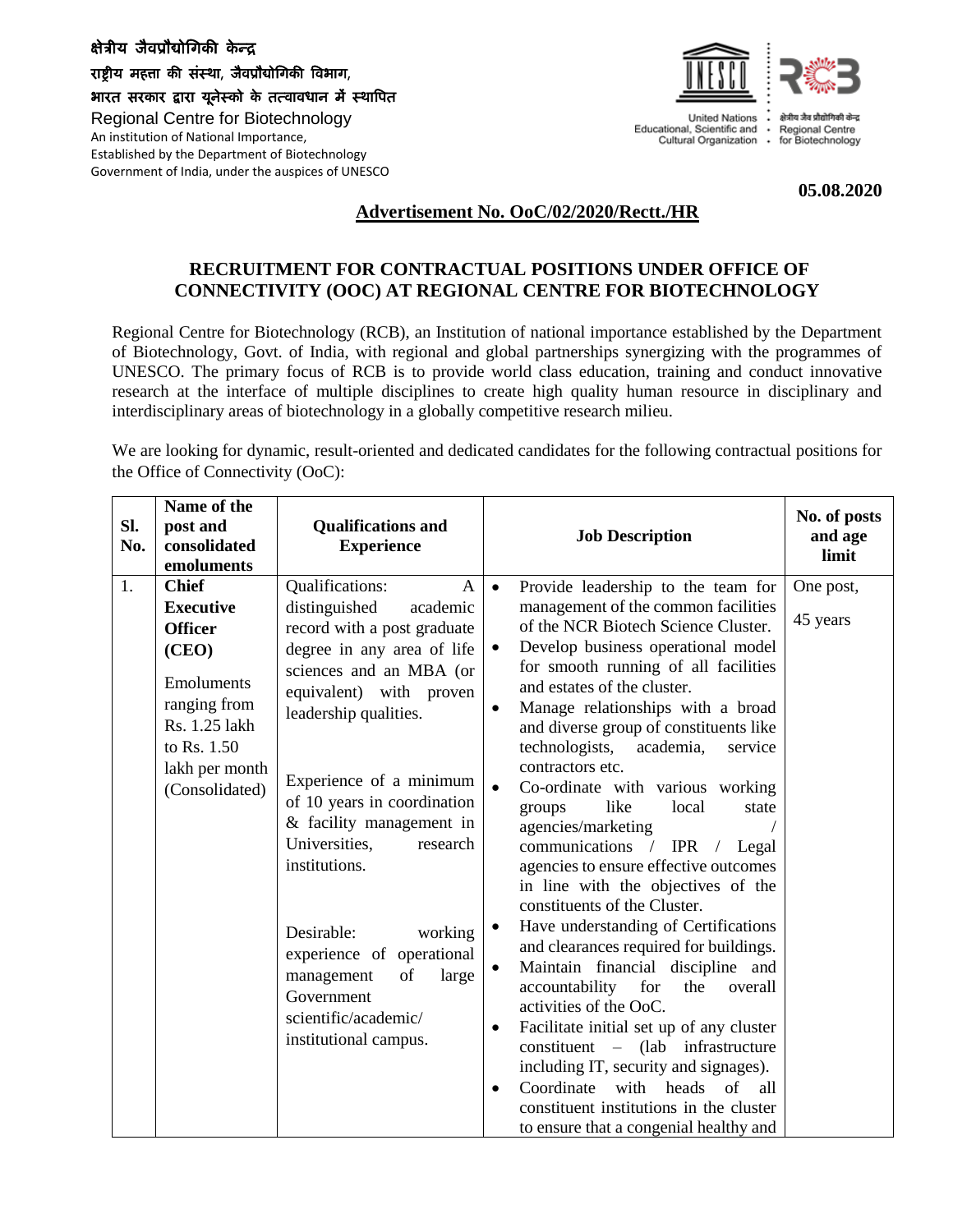# क्षेत्रीय जैवप्रौद्योगिकी के न्द्र

राष्ट्रीय महत्ता की संस्था, जैवप्रौद्योगिकी विभाग, भारत सरकार द्वारा यूनेस्को के तत्वावधान में स्थावित

Regional Centre for Biotechnology An institution of National Importance, Established by the Department of Biotechnology Government of India, under the auspices of UNESCO



**05.08.2020**

## **Advertisement No. OoC/02/2020/Rectt./HR**

### **RECRUITMENT FOR CONTRACTUAL POSITIONS UNDER OFFICE OF CONNECTIVITY (OOC) AT REGIONAL CENTRE FOR BIOTECHNOLOGY**

Regional Centre for Biotechnology (RCB), an Institution of national importance established by the Department of Biotechnology, Govt. of India, with regional and global partnerships synergizing with the programmes of UNESCO. The primary focus of RCB is to provide world class education, training and conduct innovative research at the interface of multiple disciplines to create high quality human resource in disciplinary and interdisciplinary areas of biotechnology in a globally competitive research milieu.

We are looking for dynamic, result-oriented and dedicated candidates for the following contractual positions for the Office of Connectivity (OoC):

| SI.<br>No. | Name of the<br>post and<br>consolidated<br>emoluments                                                                                                                | <b>Qualifications and</b><br><b>Experience</b>                                                                                                                                                                                                                                                                                                                                                                                                                                      | <b>Job Description</b>                                                                                                                                                                                                                                                                                                                                                                                                                                                                                                                                                                                                                                                                                                                                                                                                                                                                                                                                                                                                                                                                                                    | No. of posts<br>and age<br>limit |
|------------|----------------------------------------------------------------------------------------------------------------------------------------------------------------------|-------------------------------------------------------------------------------------------------------------------------------------------------------------------------------------------------------------------------------------------------------------------------------------------------------------------------------------------------------------------------------------------------------------------------------------------------------------------------------------|---------------------------------------------------------------------------------------------------------------------------------------------------------------------------------------------------------------------------------------------------------------------------------------------------------------------------------------------------------------------------------------------------------------------------------------------------------------------------------------------------------------------------------------------------------------------------------------------------------------------------------------------------------------------------------------------------------------------------------------------------------------------------------------------------------------------------------------------------------------------------------------------------------------------------------------------------------------------------------------------------------------------------------------------------------------------------------------------------------------------------|----------------------------------|
| 1.         | <b>Chief</b><br><b>Executive</b><br><b>Officer</b><br>(CEO)<br><b>Emoluments</b><br>ranging from<br>Rs. 1.25 lakh<br>to Rs. 1.50<br>lakh per month<br>(Consolidated) | Qualifications:<br>A<br>distinguished<br>academic<br>record with a post graduate<br>degree in any area of life<br>sciences and an MBA (or<br>equivalent) with proven<br>leadership qualities.<br>Experience of a minimum<br>of 10 years in coordination<br>& facility management in<br>Universities,<br>research<br>institutions.<br>Desirable:<br>working<br>experience of operational<br>of<br>management<br>large<br>Government<br>scientific/academic/<br>institutional campus. | Provide leadership to the team for<br>$\bullet$<br>management of the common facilities<br>of the NCR Biotech Science Cluster.<br>Develop business operational model<br>for smooth running of all facilities<br>and estates of the cluster.<br>Manage relationships with a broad<br>$\bullet$<br>and diverse group of constituents like<br>technologists,<br>academia,<br>service<br>contractors etc.<br>Co-ordinate with various working<br>like<br>local<br>groups<br>state<br>agencies/marketing<br>communications / IPR /<br>Legal<br>agencies to ensure effective outcomes<br>in line with the objectives of the<br>constituents of the Cluster.<br>Have understanding of Certifications<br>and clearances required for buildings.<br>Maintain financial discipline and<br>accountability for<br>the<br>overall<br>activities of the OoC.<br>Facilitate initial set up of any cluster<br>$\bullet$<br>constituent – (lab infrastructure<br>including IT, security and signages).<br>Coordinate with heads of<br>all<br>$\bullet$<br>constituent institutions in the cluster<br>to ensure that a congenial healthy and | One post,<br>45 years            |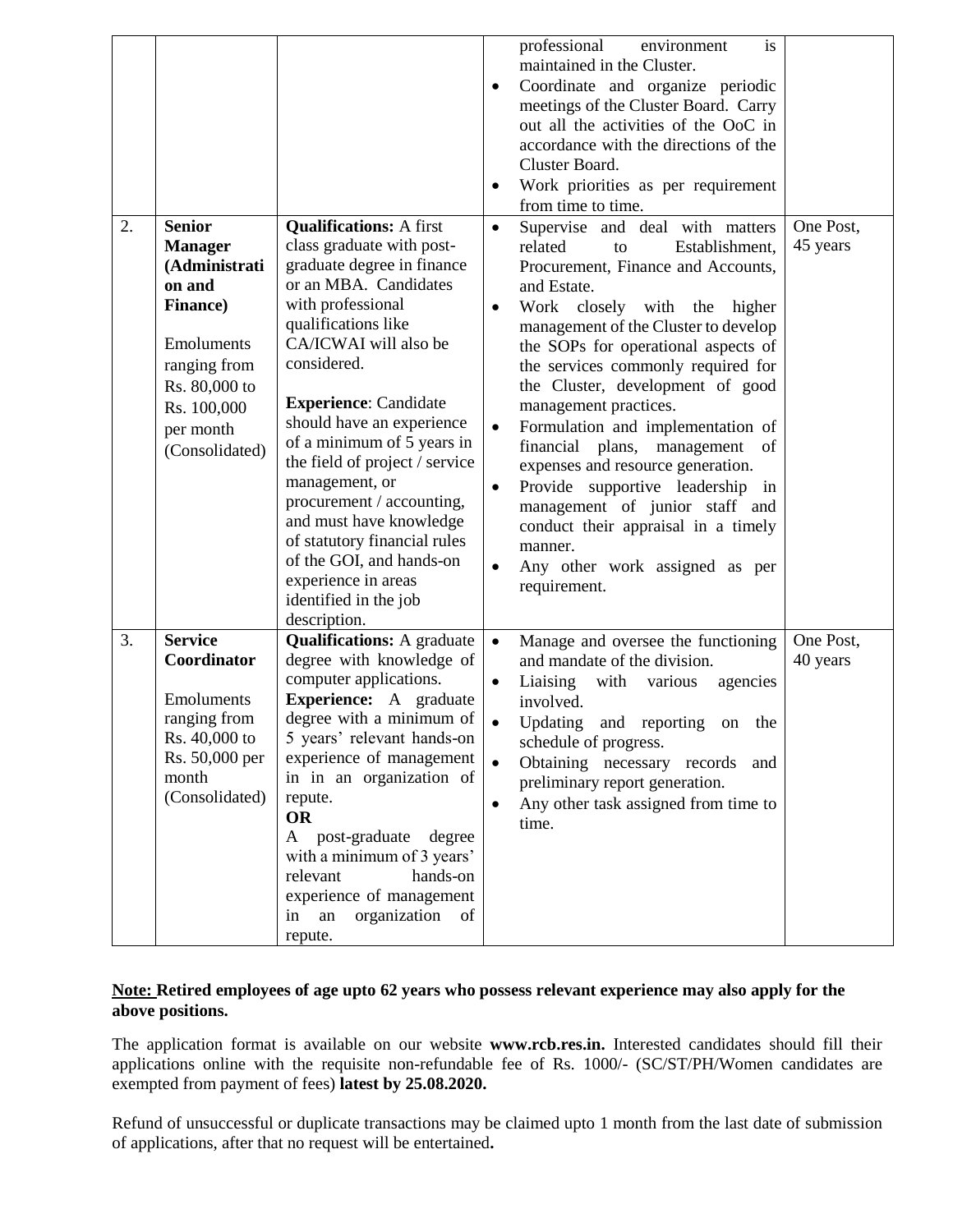| 2. | <b>Senior</b><br><b>Manager</b><br>(Administrati<br>on and<br><b>Finance</b> )<br>Emoluments<br>ranging from<br>Rs. 80,000 to<br>Rs. 100,000<br>per month<br>(Consolidated) | <b>Qualifications:</b> A first<br>class graduate with post-<br>graduate degree in finance<br>or an MBA. Candidates<br>with professional<br>qualifications like<br>CA/ICWAI will also be<br>considered.<br><b>Experience:</b> Candidate<br>should have an experience<br>of a minimum of 5 years in<br>the field of project / service<br>management, or<br>procurement / accounting,                             | $\bullet$<br>$\bullet$<br>$\bullet$<br>$\bullet$ | professional<br>environment<br>is<br>maintained in the Cluster.<br>Coordinate and organize periodic<br>meetings of the Cluster Board. Carry<br>out all the activities of the OoC in<br>accordance with the directions of the<br>Cluster Board.<br>Work priorities as per requirement<br>from time to time.<br>Supervise and deal with matters<br>related<br>Establishment,<br>to<br>Procurement, Finance and Accounts,<br>and Estate.<br>Work closely with the higher<br>management of the Cluster to develop<br>the SOPs for operational aspects of<br>the services commonly required for<br>the Cluster, development of good<br>management practices.<br>Formulation and implementation of<br>financial plans, management<br>of<br>expenses and resource generation.<br>Provide supportive leadership in<br>management of junior staff and | One Post,<br>45 years |
|----|-----------------------------------------------------------------------------------------------------------------------------------------------------------------------------|----------------------------------------------------------------------------------------------------------------------------------------------------------------------------------------------------------------------------------------------------------------------------------------------------------------------------------------------------------------------------------------------------------------|--------------------------------------------------|----------------------------------------------------------------------------------------------------------------------------------------------------------------------------------------------------------------------------------------------------------------------------------------------------------------------------------------------------------------------------------------------------------------------------------------------------------------------------------------------------------------------------------------------------------------------------------------------------------------------------------------------------------------------------------------------------------------------------------------------------------------------------------------------------------------------------------------------|-----------------------|
|    |                                                                                                                                                                             | and must have knowledge<br>of statutory financial rules<br>of the GOI, and hands-on<br>experience in areas<br>identified in the job<br>description.                                                                                                                                                                                                                                                            |                                                  | conduct their appraisal in a timely<br>manner.<br>Any other work assigned as per<br>requirement.                                                                                                                                                                                                                                                                                                                                                                                                                                                                                                                                                                                                                                                                                                                                             |                       |
| 3. | <b>Service</b><br>Coordinator<br>Emoluments<br>ranging from<br>Rs. 40,000 to<br>Rs. 50,000 per<br>month<br>(Consolidated)                                                   | <b>Qualifications:</b> A graduate<br>degree with knowledge of<br>computer applications.<br>Experience: A graduate<br>degree with a minimum of<br>5 years' relevant hands-on<br>experience of management<br>in in an organization of<br>repute.<br><b>OR</b><br>A post-graduate degree<br>with a minimum of 3 years'<br>relevant<br>hands-on<br>experience of management<br>organization of<br>in an<br>repute. | $\bullet$<br>$\bullet$<br>$\bullet$              | Manage and oversee the functioning<br>and mandate of the division.<br>Liaising<br>with various<br>agencies<br>involved.<br>Updating and reporting<br>the<br>on<br>schedule of progress.<br>Obtaining necessary records<br>and<br>preliminary report generation.<br>Any other task assigned from time to<br>time.                                                                                                                                                                                                                                                                                                                                                                                                                                                                                                                             | One Post,<br>40 years |

#### **Note: Retired employees of age upto 62 years who possess relevant experience may also apply for the above positions.**

The application format is available on our website **www.rcb.res.in.** Interested candidates should fill their applications online with the requisite non-refundable fee of Rs. 1000/- (SC/ST/PH/Women candidates are exempted from payment of fees) **latest by 25.08.2020.** 

Refund of unsuccessful or duplicate transactions may be claimed upto 1 month from the last date of submission of applications, after that no request will be entertained**.**